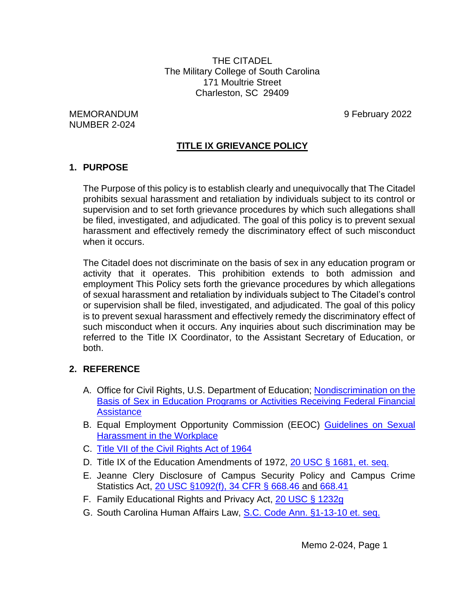THE CITADEL The Military College of South Carolina 171 Moultrie Street Charleston, SC 29409

MEMORANDUM 9 February 2022 NUMBER 2-024

# **TITLE IX GRIEVANCE POLICY**

### **1. PURPOSE**

The Purpose of this policy is to establish clearly and unequivocally that The Citadel prohibits sexual harassment and retaliation by individuals subject to its control or supervision and to set forth grievance procedures by which such allegations shall be filed, investigated, and adjudicated. The goal of this policy is to prevent sexual harassment and effectively remedy the discriminatory effect of such misconduct when it occurs.

The Citadel does not discriminate on the basis of sex in any education program or activity that it operates. This prohibition extends to both admission and employment This Policy sets forth the grievance procedures by which allegations of sexual harassment and retaliation by individuals subject to The Citadel's control or supervision shall be filed, investigated, and adjudicated. The goal of this policy is to prevent sexual harassment and effectively remedy the discriminatory effect of such misconduct when it occurs. Any inquiries about such discrimination may be referred to the Title IX Coordinator, to the Assistant Secretary of Education, or both.

# **2. REFERENCE**

- A. Office for Civil Rights, U.S. Department of Education; [Nondiscrimination on the](https://www.federalregister.gov/documents/2020/05/19/2020-10512/nondiscrimination-on-the-basis-of-sex-in-education-programs-or-activities-receiving-federal)  [Basis of Sex in Education Programs or Activities Receiving Federal Financial](https://www.federalregister.gov/documents/2020/05/19/2020-10512/nondiscrimination-on-the-basis-of-sex-in-education-programs-or-activities-receiving-federal)  **[Assistance](https://www.federalregister.gov/documents/2020/05/19/2020-10512/nondiscrimination-on-the-basis-of-sex-in-education-programs-or-activities-receiving-federal)**
- B. Equal Employment Opportunity Commission (EEOC) [Guidelines on Sexual](https://www.eeoc.gov/laws/guidance/policy-guidance-current-issues-sexual-harassment)  [Harassment in the Workplace](https://www.eeoc.gov/laws/guidance/policy-guidance-current-issues-sexual-harassment)
- C. [Title VII of the Civil Rights Act of 1964](https://www.eeoc.gov/statutes/title-vii-civil-rights-act-1964)
- D. Title IX of the Education Amendments of 1972, [20 USC § 1681, et. seq.](https://www.govinfo.gov/content/pkg/USCODE-2010-title20/pdf/USCODE-2010-title20-chap38.pdf)
- E. Jeanne Clery Disclosure of Campus Security Policy and Campus Crime Statistics Act, [20 USC §1092\(f\), 34 CFR § 668.46 and](https://www2.ed.gov/admins/lead/safety/campus.html) 668.41
- F. Family Educational Rights and Privacy Act, [20 USC § 1232g](https://www.govinfo.gov/content/pkg/USCODE-2011-title20/pdf/USCODE-2011-title20-chap31-subchapIII-part4-sec1232g.pdf)
- G. South Carolina Human Affairs Law, [S.C. Code Ann. §1-13-10 et.](https://www.scstatehouse.gov/code/t01c013.php) seq.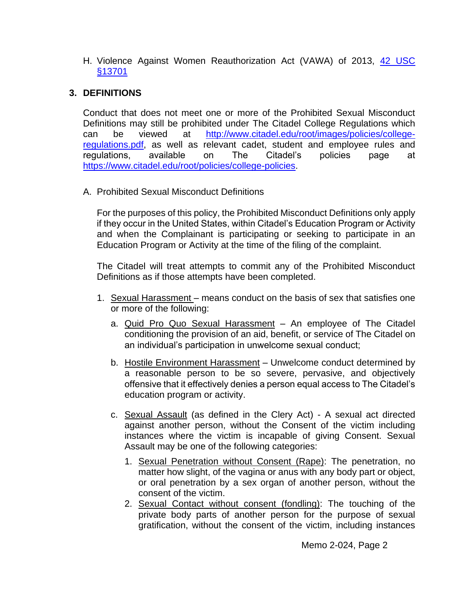H. Violence Against Women Reauthorization Act (VAWA) of 2013, 42 USC [§13701](https://www.govinfo.gov/content/pkg/PLAW-113publ4/pdf/PLAW-113publ4.pdf)

# **3. DEFINITIONS**

Conduct that does not meet one or more of the Prohibited Sexual Misconduct Definitions may still be prohibited under The Citadel College Regulations which can be viewed at [http://www.citadel.edu/root/images/policies/college](http://www.citadel.edu/root/images/policies/college-regulations.pdf)[regulations.pdf,](http://www.citadel.edu/root/images/policies/college-regulations.pdf) as well as relevant cadet, student and employee rules and regulations, available on The Citadel's policies page at [https://www.citadel.edu/root/policies/college-policies.](https://www.citadel.edu/root/policies/college-policies)

A. Prohibited Sexual Misconduct Definitions

For the purposes of this policy, the Prohibited Misconduct Definitions only apply if they occur in the United States, within Citadel's Education Program or Activity and when the Complainant is participating or seeking to participate in an Education Program or Activity at the time of the filing of the complaint.

The Citadel will treat attempts to commit any of the Prohibited Misconduct Definitions as if those attempts have been completed.

- 1. Sexual Harassment means conduct on the basis of sex that satisfies one or more of the following:
	- a. Quid Pro Quo Sexual Harassment An employee of The Citadel conditioning the provision of an aid, benefit, or service of The Citadel on an individual's participation in unwelcome sexual conduct;
	- b. Hostile Environment Harassment Unwelcome conduct determined by a reasonable person to be so severe, pervasive, and objectively offensive that it effectively denies a person equal access to The Citadel's education program or activity.
	- c. Sexual Assault (as defined in the Clery Act) A sexual act directed against another person, without the Consent of the victim including instances where the victim is incapable of giving Consent. Sexual Assault may be one of the following categories:
		- 1. Sexual Penetration without Consent (Rape): The penetration, no matter how slight, of the vagina or anus with any body part or object, or oral penetration by a sex organ of another person, without the consent of the victim.
		- 2. Sexual Contact without consent (fondling): The touching of the private body parts of another person for the purpose of sexual gratification, without the consent of the victim, including instances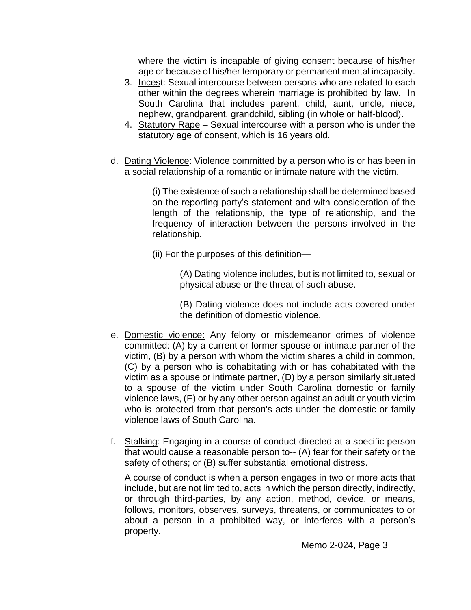where the victim is incapable of giving consent because of his/her age or because of his/her temporary or permanent mental incapacity.

- 3. Incest: Sexual intercourse between persons who are related to each other within the degrees wherein marriage is prohibited by law. In South Carolina that includes parent, child, aunt, uncle, niece, nephew, grandparent, grandchild, sibling (in whole or half-blood).
- 4. Statutory Rape Sexual intercourse with a person who is under the statutory age of consent, which is 16 years old.
- d. Dating Violence: Violence committed by a person who is or has been in a social relationship of a romantic or intimate nature with the victim.

(i) The existence of such a relationship shall be determined based on the reporting party's statement and with consideration of the length of the relationship, the type of relationship, and the frequency of interaction between the persons involved in the relationship.

(ii) For the purposes of this definition—

(A) Dating violence includes, but is not limited to, sexual or physical abuse or the threat of such abuse.

(B) Dating violence does not include acts covered under the definition of domestic violence.

- e. Domestic violence: Any felony or misdemeanor crimes of violence committed: (A) by a current or former spouse or intimate partner of the victim, (B) by a person with whom the victim shares a child in common, (C) by a person who is cohabitating with or has cohabitated with the victim as a spouse or intimate partner, (D) by a person similarly situated to a spouse of the victim under South Carolina domestic or family violence laws, (E) or by any other person against an adult or youth victim who is protected from that person's acts under the domestic or family violence laws of South Carolina.
- f. Stalking: Engaging in a course of conduct directed at a specific person that would cause a reasonable person to-- (A) fear for their safety or the safety of others; or (B) suffer substantial emotional distress.

A course of conduct is when a person engages in two or more acts that include, but are not limited to, acts in which the person directly, indirectly, or through third-parties, by any action, method, device, or means, follows, monitors, observes, surveys, threatens, or communicates to or about a person in a prohibited way, or interferes with a person's property.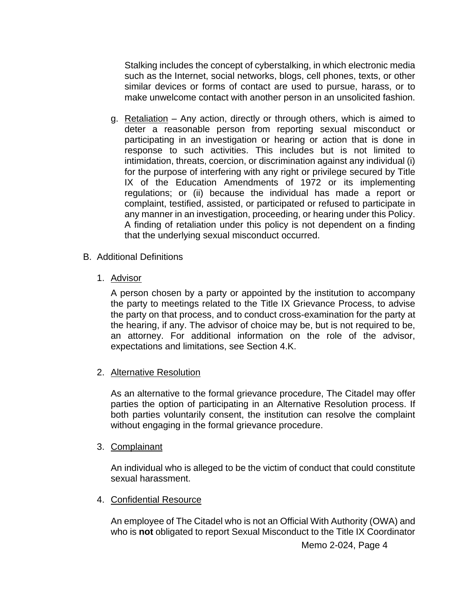Stalking includes the concept of cyberstalking, in which electronic media such as the Internet, social networks, blogs, cell phones, texts, or other similar devices or forms of contact are used to pursue, harass, or to make unwelcome contact with another person in an unsolicited fashion.

- g. Retaliation Any action, directly or through others, which is aimed to deter a reasonable person from reporting sexual misconduct or participating in an investigation or hearing or action that is done in response to such activities. This includes but is not limited to intimidation, threats, coercion, or discrimination against any individual (i) for the purpose of interfering with any right or privilege secured by Title IX of the Education Amendments of 1972 or its implementing regulations; or (ii) because the individual has made a report or complaint, testified, assisted, or participated or refused to participate in any manner in an investigation, proceeding, or hearing under this Policy. A finding of retaliation under this policy is not dependent on a finding that the underlying sexual misconduct occurred.
- B. Additional Definitions
	- 1. Advisor

A person chosen by a party or appointed by the institution to accompany the party to meetings related to the Title IX Grievance Process, to advise the party on that process, and to conduct cross-examination for the party at the hearing, if any. The advisor of choice may be, but is not required to be, an attorney. For additional information on the role of the advisor, expectations and limitations, see Section 4.K.

2. Alternative Resolution

As an alternative to the formal grievance procedure, The Citadel may offer parties the option of participating in an Alternative Resolution process. If both parties voluntarily consent, the institution can resolve the complaint without engaging in the formal grievance procedure.

3. Complainant

An individual who is alleged to be the victim of conduct that could constitute sexual harassment.

4. Confidential Resource

An employee of The Citadel who is not an Official With Authority (OWA) and who is **not** obligated to report Sexual Misconduct to the Title IX Coordinator

Memo 2-024, Page 4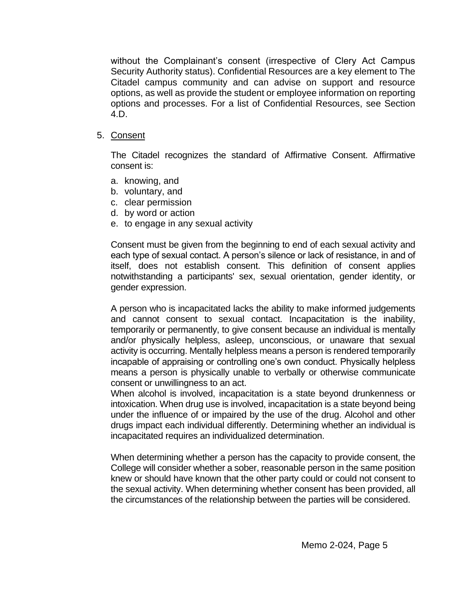without the Complainant's consent (irrespective of Clery Act Campus Security Authority status). Confidential Resources are a key element to The Citadel campus community and can advise on support and resource options, as well as provide the student or employee information on reporting options and processes. For a list of Confidential Resources, see Section 4.D.

5. Consent

The Citadel recognizes the standard of Affirmative Consent. Affirmative consent is:

- a. knowing, and
- b. voluntary, and
- c. clear permission
- d. by word or action
- e. to engage in any sexual activity

Consent must be given from the beginning to end of each sexual activity and each type of sexual contact. A person's silence or lack of resistance, in and of itself, does not establish consent. This definition of consent applies notwithstanding a participants' sex, sexual orientation, gender identity, or gender expression.

A person who is incapacitated lacks the ability to make informed judgements and cannot consent to sexual contact. Incapacitation is the inability, temporarily or permanently, to give consent because an individual is mentally and/or physically helpless, asleep, unconscious, or unaware that sexual activity is occurring. Mentally helpless means a person is rendered temporarily incapable of appraising or controlling one's own conduct. Physically helpless means a person is physically unable to verbally or otherwise communicate consent or unwillingness to an act.

When alcohol is involved, incapacitation is a state beyond drunkenness or intoxication. When drug use is involved, incapacitation is a state beyond being under the influence of or impaired by the use of the drug. Alcohol and other drugs impact each individual differently. Determining whether an individual is incapacitated requires an individualized determination.

When determining whether a person has the capacity to provide consent, the College will consider whether a sober, reasonable person in the same position knew or should have known that the other party could or could not consent to the sexual activity. When determining whether consent has been provided, all the circumstances of the relationship between the parties will be considered.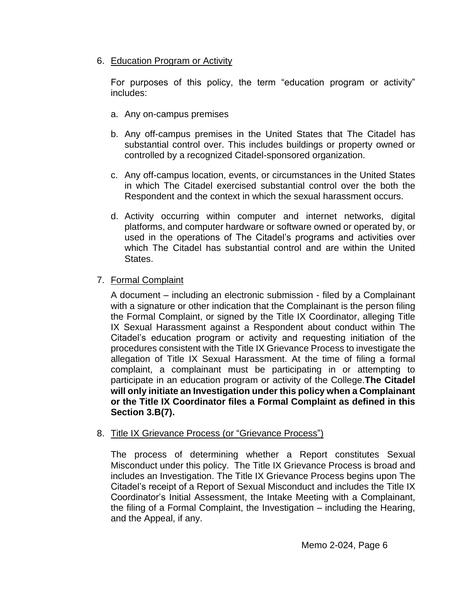# 6. Education Program or Activity

For purposes of this policy, the term "education program or activity" includes:

- a. Any on-campus premises
- b. Any off-campus premises in the United States that The Citadel has substantial control over. This includes buildings or property owned or controlled by a recognized Citadel-sponsored organization.
- c. Any off-campus location, events, or circumstances in the United States in which The Citadel exercised substantial control over the both the Respondent and the context in which the sexual harassment occurs.
- d. Activity occurring within computer and internet networks, digital platforms, and computer hardware or software owned or operated by, or used in the operations of The Citadel's programs and activities over which The Citadel has substantial control and are within the United States.

# 7. Formal Complaint

A document – including an electronic submission - filed by a Complainant with a signature or other indication that the Complainant is the person filing the Formal Complaint, or signed by the Title IX Coordinator, alleging Title IX Sexual Harassment against a Respondent about conduct within The Citadel's education program or activity and requesting initiation of the procedures consistent with the Title IX Grievance Process to investigate the allegation of Title IX Sexual Harassment. At the time of filing a formal complaint, a complainant must be participating in or attempting to participate in an education program or activity of the College.**The Citadel will only initiate an Investigation under this policy when a Complainant or the Title IX Coordinator files a Formal Complaint as defined in this Section 3.B(7).**

# 8. Title IX Grievance Process (or "Grievance Process")

The process of determining whether a Report constitutes Sexual Misconduct under this policy. The Title IX Grievance Process is broad and includes an Investigation. The Title IX Grievance Process begins upon The Citadel's receipt of a Report of Sexual Misconduct and includes the Title IX Coordinator's Initial Assessment, the Intake Meeting with a Complainant, the filing of a Formal Complaint, the Investigation – including the Hearing, and the Appeal, if any.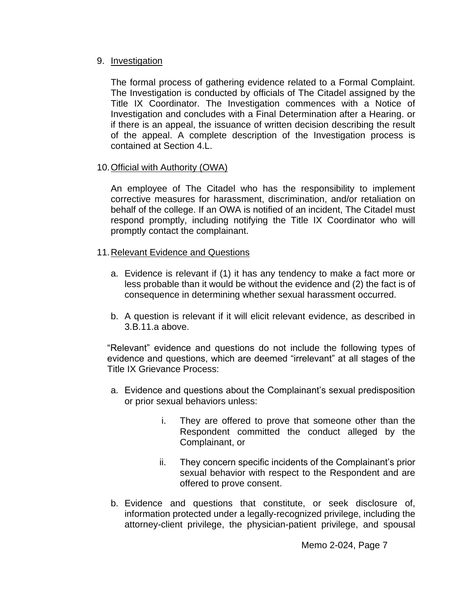### 9. Investigation

The formal process of gathering evidence related to a Formal Complaint. The Investigation is conducted by officials of The Citadel assigned by the Title IX Coordinator. The Investigation commences with a Notice of Investigation and concludes with a Final Determination after a Hearing. or if there is an appeal, the issuance of written decision describing the result of the appeal. A complete description of the Investigation process is contained at Section 4.L.

### 10.Official with Authority (OWA)

An employee of The Citadel who has the responsibility to implement corrective measures for harassment, discrimination, and/or retaliation on behalf of the college. If an OWA is notified of an incident, The Citadel must respond promptly, including notifying the Title IX Coordinator who will promptly contact the complainant.

### 11.Relevant Evidence and Questions

- a. Evidence is relevant if (1) it has any tendency to make a fact more or less probable than it would be without the evidence and (2) the fact is of consequence in determining whether sexual harassment occurred.
- b. A question is relevant if it will elicit relevant evidence, as described in 3.B.11.a above.

"Relevant" evidence and questions do not include the following types of evidence and questions, which are deemed "irrelevant" at all stages of the Title IX Grievance Process:

- a. Evidence and questions about the Complainant's sexual predisposition or prior sexual behaviors unless:
	- i. They are offered to prove that someone other than the Respondent committed the conduct alleged by the Complainant, or
	- ii. They concern specific incidents of the Complainant's prior sexual behavior with respect to the Respondent and are offered to prove consent.
- b. Evidence and questions that constitute, or seek disclosure of, information protected under a legally-recognized privilege, including the attorney-client privilege, the physician-patient privilege, and spousal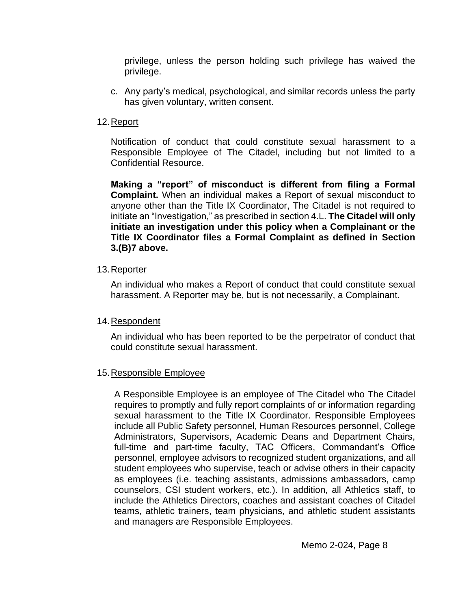privilege, unless the person holding such privilege has waived the privilege.

c. Any party's medical, psychological, and similar records unless the party has given voluntary, written consent.

# 12. Report

Notification of conduct that could constitute sexual harassment to a Responsible Employee of The Citadel, including but not limited to a Confidential Resource.

**Making a "report" of misconduct is different from filing a Formal Complaint.** When an individual makes a Report of sexual misconduct to anyone other than the Title IX Coordinator, The Citadel is not required to initiate an "Investigation," as prescribed in section 4.L. **The Citadel will only initiate an investigation under this policy when a Complainant or the Title IX Coordinator files a Formal Complaint as defined in Section 3.(B)7 above.**

# 13.Reporter

An individual who makes a Report of conduct that could constitute sexual harassment. A Reporter may be, but is not necessarily, a Complainant.

# 14.Respondent

An individual who has been reported to be the perpetrator of conduct that could constitute sexual harassment.

# 15.Responsible Employee

A Responsible Employee is an employee of The Citadel who The Citadel requires to promptly and fully report complaints of or information regarding sexual harassment to the Title IX Coordinator. Responsible Employees include all Public Safety personnel, Human Resources personnel, College Administrators, Supervisors, Academic Deans and Department Chairs, full-time and part-time faculty, TAC Officers, Commandant's Office personnel, employee advisors to recognized student organizations, and all student employees who supervise, teach or advise others in their capacity as employees (i.e. teaching assistants, admissions ambassadors, camp counselors, CSI student workers, etc.). In addition, all Athletics staff, to include the Athletics Directors, coaches and assistant coaches of Citadel teams, athletic trainers, team physicians, and athletic student assistants and managers are Responsible Employees.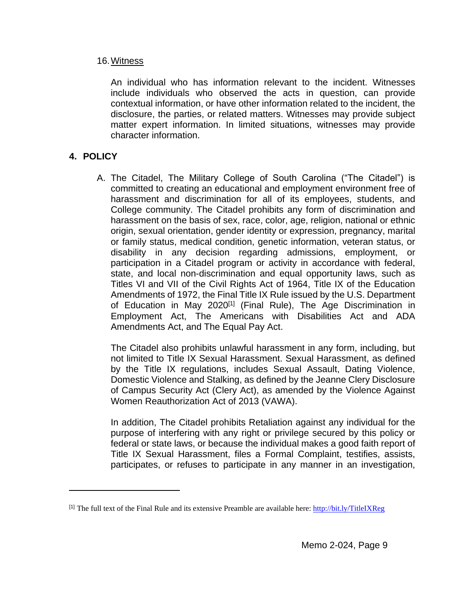### 16.Witness

An individual who has information relevant to the incident. Witnesses include individuals who observed the acts in question, can provide contextual information, or have other information related to the incident, the disclosure, the parties, or related matters. Witnesses may provide subject matter expert information. In limited situations, witnesses may provide character information.

# **4. POLICY**

 $\overline{a}$ 

A. The Citadel, The Military College of South Carolina ("The Citadel") is committed to creating an educational and employment environment free of harassment and discrimination for all of its employees, students, and College community. The Citadel prohibits any form of discrimination and harassment on the basis of sex, race, color, age, religion, national or ethnic origin, sexual orientation, gender identity or expression, pregnancy, marital or family status, medical condition, genetic information, veteran status, or disability in any decision regarding admissions, employment, or participation in a Citadel program or activity in accordance with federal, state, and local non-discrimination and equal opportunity laws, such as Titles VI and VII of the Civil Rights Act of 1964, Title IX of the Education Amendments of 1972, the Final Title IX Rule issued by the U.S. Department of Education in May 2020<sup>[1]</sup> (Final Rule), The Age Discrimination in Employment Act, The Americans with Disabilities Act and ADA Amendments Act, and The Equal Pay Act.

The Citadel also prohibits unlawful harassment in any form, including, but not limited to Title IX Sexual Harassment. Sexual Harassment, as defined by the Title IX regulations, includes Sexual Assault, Dating Violence, Domestic Violence and Stalking, as defined by the Jeanne Clery Disclosure of Campus Security Act (Clery Act), as amended by the Violence Against Women Reauthorization Act of 2013 (VAWA).

In addition, The Citadel prohibits Retaliation against any individual for the purpose of interfering with any right or privilege secured by this policy or federal or state laws, or because the individual makes a good faith report of Title IX Sexual Harassment, files a Formal Complaint, testifies, assists, participates, or refuses to participate in any manner in an investigation,

<sup>&</sup>lt;sup>[1]</sup> The full text of the Final Rule and its extensive Preamble are available here: [http://bit.ly/TitleIXReg](https://nam01.safelinks.protection.outlook.com/?url=http%3A%2F%2Fbit.ly%2FTitleIXReg&data=02%7C01%7Cvmercado%40citadel.edu%7C96e4ad2c8cf2457449fb08d840b043d8%7C960c1081d06341f8844b41d738db04a3%7C0%7C0%7C637330473086952441&sdata=xn31xieTF5Lk9oLg%2BBC4CLze4b%2BjqaZyj6WgizImzX4%3D&reserved=0)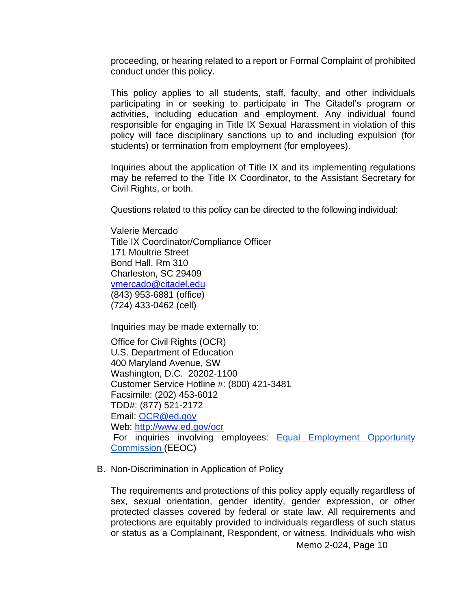proceeding, or hearing related to a report or Formal Complaint of prohibited conduct under this policy.

This policy applies to all students, staff, faculty, and other individuals participating in or seeking to participate in The Citadel's program or activities, including education and employment. Any individual found responsible for engaging in Title IX Sexual Harassment in violation of this policy will face disciplinary sanctions up to and including expulsion (for students) or termination from employment (for employees).

Inquiries about the application of Title IX and its implementing regulations may be referred to the Title IX Coordinator, to the Assistant Secretary for Civil Rights, or both.

Questions related to this policy can be directed to the following individual:

Valerie Mercado Title IX Coordinator/Compliance Officer 171 Moultrie Street Bond Hall, Rm 310 Charleston, SC 29409 [vmercado@citadel.edu](mailto:vmercado@citadel.edu) (843) 953-6881 (office) (724) 433-0462 (cell)

Inquiries may be made externally to:

Office for Civil Rights (OCR) U.S. Department of Education 400 Maryland Avenue, SW Washington, D.C. 20202-1100 Customer Service Hotline #: (800) 421-3481 Facsimile: (202) 453-6012 TDD#: (877) 521-2172 Email: [OCR@ed.gov](mailto:OCR@ed.gov) Web: [http://www.ed.gov/ocr](https://nam01.safelinks.protection.outlook.com/?url=http%3A%2F%2Fwww2.ed.gov%2Fabout%2Foffices%2Flist%2Focr%2Findex.html&data=02%7C01%7Cvmercado%40citadel.edu%7C96e4ad2c8cf2457449fb08d840b043d8%7C960c1081d06341f8844b41d738db04a3%7C0%7C0%7C637330473086892466&sdata=nOzLFta3dhby%2B4kaz8c8flrK6%2BQBdTRuyVpPKRLimGs%3D&reserved=0) For inquiries involving employees: **[Equal](https://nam01.safelinks.protection.outlook.com/?url=http%3A%2F%2Fwww.eeoc.gov%2Fcontact%2F&data=02%7C01%7Cvmercado%40citadel.edu%7C96e4ad2c8cf2457449fb08d840b043d8%7C960c1081d06341f8844b41d738db04a3%7C0%7C0%7C637330473086902461&sdata=x7hoLZduUpWoFAzqUvp78BjCRWxUvjOJrpVcFTGMmTQ%3D&reserved=0) Employment Opportunity** [Commission](https://nam01.safelinks.protection.outlook.com/?url=http%3A%2F%2Fwww.eeoc.gov%2Fcontact%2F&data=02%7C01%7Cvmercado%40citadel.edu%7C96e4ad2c8cf2457449fb08d840b043d8%7C960c1081d06341f8844b41d738db04a3%7C0%7C0%7C637330473086902461&sdata=x7hoLZduUpWoFAzqUvp78BjCRWxUvjOJrpVcFTGMmTQ%3D&reserved=0) [\(](https://nam01.safelinks.protection.outlook.com/?url=http%3A%2F%2Fwww.eeoc.gov%2Fcontact%2F&data=02%7C01%7Cvmercado%40citadel.edu%7C96e4ad2c8cf2457449fb08d840b043d8%7C960c1081d06341f8844b41d738db04a3%7C0%7C0%7C637330473086912462&sdata=azHWMYTC7M9tsn399HhJynKjDMWZxa5%2FHtVQcjjKL6k%3D&reserved=0)EEOC)

B. Non-Discrimination in Application of Policy

The requirements and protections of this policy apply equally regardless of sex, sexual orientation, gender identity, gender expression, or other protected classes covered by federal or state law. All requirements and protections are equitably provided to individuals regardless of such status or status as a Complainant, Respondent, or witness. Individuals who wish

Memo 2-024, Page 10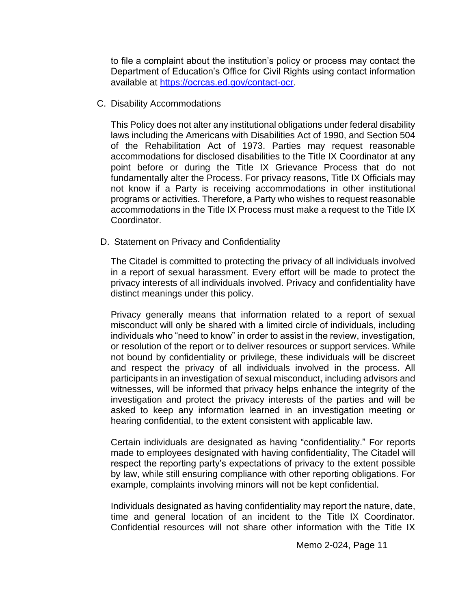to file a complaint about the institution's policy or process may contact the Department of Education's Office for Civil Rights using contact information available at [https://ocrcas.ed.gov/contact-ocr.](https://ocrcas.ed.gov/contact-ocr)

C. Disability Accommodations

This Policy does not alter any institutional obligations under federal disability laws including the Americans with Disabilities Act of 1990, and Section 504 of the Rehabilitation Act of 1973. Parties may request reasonable accommodations for disclosed disabilities to the Title IX Coordinator at any point before or during the Title IX Grievance Process that do not fundamentally alter the Process. For privacy reasons, Title IX Officials may not know if a Party is receiving accommodations in other institutional programs or activities. Therefore, a Party who wishes to request reasonable accommodations in the Title IX Process must make a request to the Title IX Coordinator.

D. Statement on Privacy and Confidentiality

The Citadel is committed to protecting the privacy of all individuals involved in a report of sexual harassment. Every effort will be made to protect the privacy interests of all individuals involved. Privacy and confidentiality have distinct meanings under this policy.

Privacy generally means that information related to a report of sexual misconduct will only be shared with a limited circle of individuals, including individuals who "need to know" in order to assist in the review, investigation, or resolution of the report or to deliver resources or support services. While not bound by confidentiality or privilege, these individuals will be discreet and respect the privacy of all individuals involved in the process. All participants in an investigation of sexual misconduct, including advisors and witnesses, will be informed that privacy helps enhance the integrity of the investigation and protect the privacy interests of the parties and will be asked to keep any information learned in an investigation meeting or hearing confidential, to the extent consistent with applicable law.

Certain individuals are designated as having "confidentiality." For reports made to employees designated with having confidentiality, The Citadel will respect the reporting party's expectations of privacy to the extent possible by law, while still ensuring compliance with other reporting obligations. For example, complaints involving minors will not be kept confidential.

Individuals designated as having confidentiality may report the nature, date, time and general location of an incident to the Title IX Coordinator. Confidential resources will not share other information with the Title IX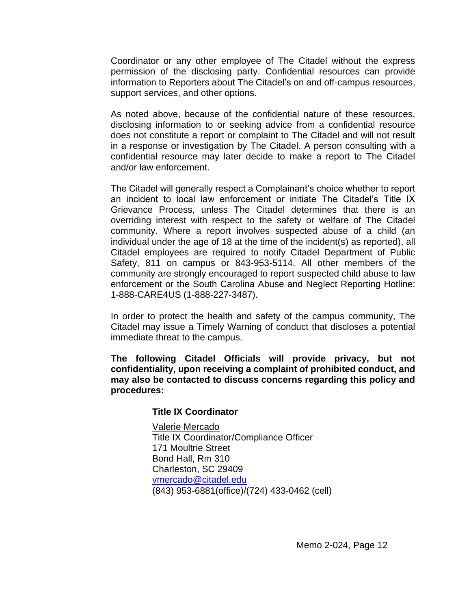Coordinator or any other employee of The Citadel without the express permission of the disclosing party. Confidential resources can provide information to Reporters about The Citadel's on and off-campus resources, support services, and other options.

As noted above, because of the confidential nature of these resources, disclosing information to or seeking advice from a confidential resource does not constitute a report or complaint to The Citadel and will not result in a response or investigation by The Citadel. A person consulting with a confidential resource may later decide to make a report to The Citadel and/or law enforcement.

The Citadel will generally respect a Complainant's choice whether to report an incident to local law enforcement or initiate The Citadel's Title IX Grievance Process, unless The Citadel determines that there is an overriding interest with respect to the safety or welfare of The Citadel community. Where a report involves suspected abuse of a child (an individual under the age of 18 at the time of the incident(s) as reported), all Citadel employees are required to notify Citadel Department of Public Safety, 811 on campus or 843-953-5114. All other members of the community are strongly encouraged to report suspected child abuse to law enforcement or the South Carolina Abuse and Neglect Reporting Hotline: 1-888-CARE4US (1-888-227-3487).

In order to protect the health and safety of the campus community, The Citadel may issue a Timely Warning of conduct that discloses a potential immediate threat to the campus.

**The following Citadel Officials will provide privacy, but not confidentiality, upon receiving a complaint of prohibited conduct, and may also be contacted to discuss concerns regarding this policy and procedures:**

#### **Title IX Coordinator**

Valerie Mercado Title IX Coordinator/Compliance Officer 171 Moultrie Street Bond Hall, Rm 310 Charleston, SC 29409 [vmercado@citadel.edu](mailto:vmercado@citadel.edu) (843) 953-6881(office)/(724) 433-0462 (cell)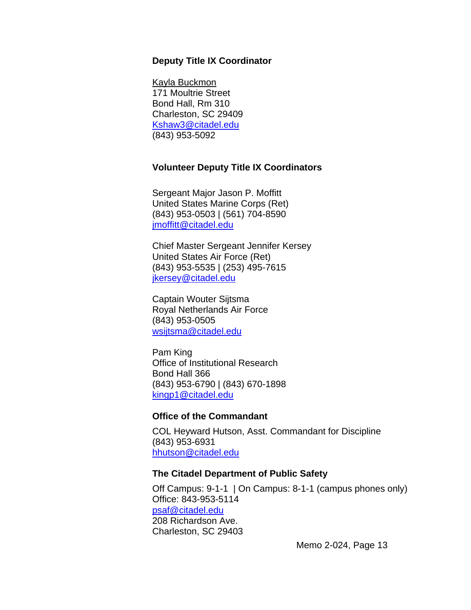#### **Deputy Title IX Coordinator**

Kayla Buckmon 171 Moultrie Street Bond Hall, Rm 310 Charleston, SC 29409 [Kshaw3@citadel.edu](mailto:Kshaw3@citadel.edu) (843) 953-5092

#### **Volunteer Deputy Title IX Coordinators**

Sergeant Major Jason P. Moffitt United States Marine Corps (Ret) (843) 953-0503 | (561) 704-8590 [jmoffitt@citadel.edu](mailto:jmoffitt@citadel.edu)

Chief Master Sergeant Jennifer Kersey United States Air Force (Ret) (843) 953-5535 | (253) 495-7615 [jkersey@citadel.edu](mailto:jkersey@citadel.edu)

Captain Wouter Sijtsma Royal Netherlands Air Force (843) 953-0505 [wsijtsma@citadel.edu](mailto:wsijtsma@citadel.edu)

Pam King Office of Institutional Research Bond Hall 366 (843) 953-6790 | (843) 670-1898 [kingp1@citadel.edu](mailto:kingp1@citadel.edu)

#### **Office of the Commandant**

COL Heyward Hutson, Asst. Commandant for Discipline (843) 953-6931 [hhutson@citadel.edu](mailto:hhutson@citadel.edu)

#### **The Citadel Department of Public Safety**

Off Campus: 9-1-1 | On Campus: 8-1-1 (campus phones only) Office: 843-953-5114 [psaf@citadel.edu](mailto:psaf@citadel.edu) 208 Richardson Ave. Charleston, SC 29403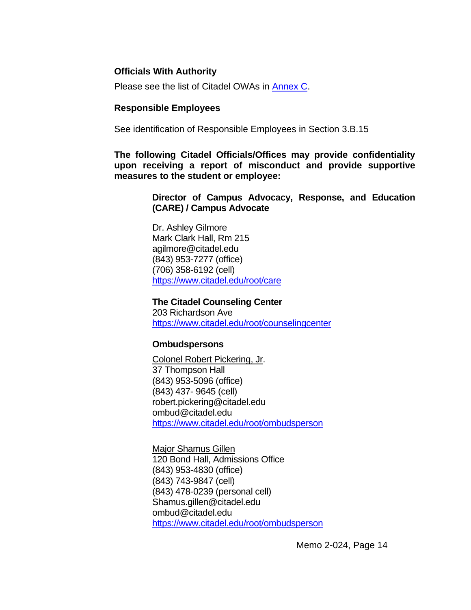### **Officials With Authority**

Please see the list of Citadel OWAs in [Annex C.](https://documentcloud.adobe.com/link/review?uri=urn:aaid:scds:US:1f513914-72d8-4eaf-95c9-a2f43462f863)

#### **Responsible Employees**

See identification of Responsible Employees in Section 3.B.15

**The following Citadel Officials/Offices may provide confidentiality upon receiving a report of misconduct and provide supportive measures to the student or employee:**

> **Director of Campus Advocacy, Response, and Education (CARE) / Campus Advocate**

Dr. Ashley Gilmore Mark Clark Hall, Rm 215 agilmore@citadel.edu (843) 953-7277 (office) (706) 358-6192 (cell) <https://www.citadel.edu/root/care>

**The Citadel Counseling Center** 203 Richardson Ave <https://www.citadel.edu/root/counselingcenter>

#### **Ombudspersons**

Colonel Robert Pickering, Jr. 37 Thompson Hall (843) 953-5096 (office) (843) 437- 9645 (cell) robert.pickering@citadel.edu ombud@citadel.edu <https://www.citadel.edu/root/ombudsperson>

Major Shamus Gillen 120 Bond Hall, Admissions Office (843) 953-4830 (office) (843) 743-9847 (cell) (843) 478-0239 (personal cell) Shamus.gillen@citadel.edu ombud@citadel.edu <https://www.citadel.edu/root/ombudsperson>

Memo 2-024, Page 14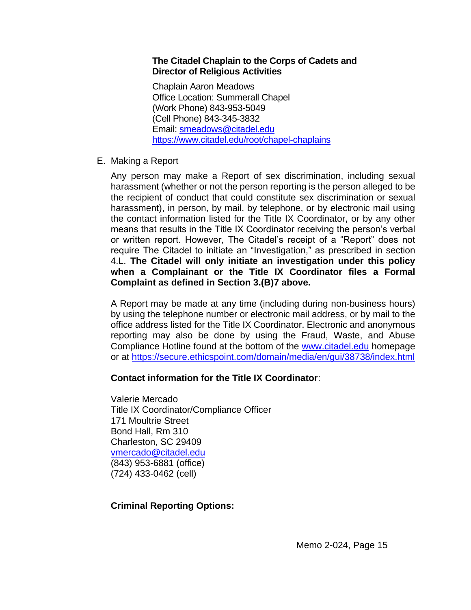### **The Citadel Chaplain to the Corps of Cadets and Director of Religious Activities**

Chaplain Aaron Meadows Office Location: Summerall Chapel (Work Phone) 843-953-5049 (Cell Phone) 843-345-3832 Email: [smeadows@citadel.edu](mailto:smeadows@citadel.edu) <https://www.citadel.edu/root/chapel-chaplains>

E. Making a Report

Any person may make a Report of sex discrimination, including sexual harassment (whether or not the person reporting is the person alleged to be the recipient of conduct that could constitute sex discrimination or sexual harassment), in person, by mail, by telephone, or by electronic mail using the contact information listed for the Title IX Coordinator, or by any other means that results in the Title IX Coordinator receiving the person's verbal or written report. However, The Citadel's receipt of a "Report" does not require The Citadel to initiate an "Investigation," as prescribed in section 4.L. **The Citadel will only initiate an investigation under this policy when a Complainant or the Title IX Coordinator files a Formal Complaint as defined in Section 3.(B)7 above.**

A Report may be made at any time (including during non-business hours) by using the telephone number or electronic mail address, or by mail to the office address listed for the Title IX Coordinator. Electronic and anonymous reporting may also be done by using the Fraud, Waste, and Abuse Compliance Hotline found at the bottom of the [www.citadel.edu](http://www.citadel.edu/) homepage or at<https://secure.ethicspoint.com/domain/media/en/gui/38738/index.html>

# **Contact information for the Title IX Coordinator**:

Valerie Mercado Title IX Coordinator/Compliance Officer 171 Moultrie Street Bond Hall, Rm 310 Charleston, SC 29409 [vmercado@citadel.edu](mailto:vmercado@citadel.edu) (843) 953-6881 (office) (724) 433-0462 (cell)

# **Criminal Reporting Options:**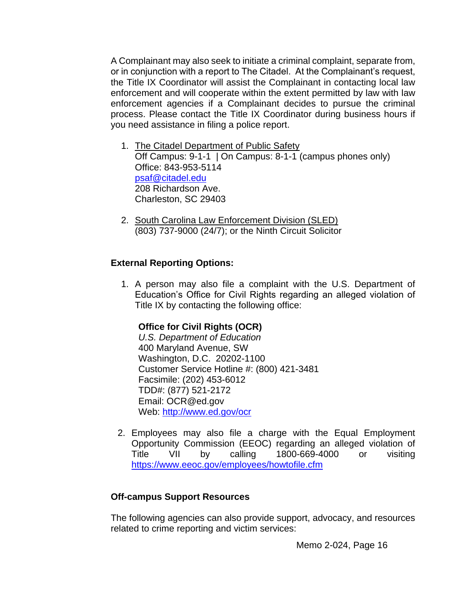A Complainant may also seek to initiate a criminal complaint, separate from, or in conjunction with a report to The Citadel. At the Complainant's request, the Title IX Coordinator will assist the Complainant in contacting local law enforcement and will cooperate within the extent permitted by law with law enforcement agencies if a Complainant decides to pursue the criminal process. Please contact the Title IX Coordinator during business hours if you need assistance in filing a police report.

- 1. The Citadel Department of Public Safety Off Campus: 9-1-1 | On Campus: 8-1-1 (campus phones only) Office: 843-953-5114 [psaf@citadel.edu](mailto:psaf@citadel.edu) 208 Richardson Ave. Charleston, SC 29403
- 2. South Carolina Law Enforcement Division (SLED) (803) 737-9000 (24/7); or the Ninth Circuit Solicitor

# **External Reporting Options:**

1. A person may also file a complaint with the U.S. Department of Education's Office for Civil Rights regarding an alleged violation of Title IX by contacting the following office:

# **Office for Civil Rights (OCR)**

*U.S. Department of Education* 400 Maryland Avenue, SW Washington, D.C. 20202-1100 Customer Service Hotline #: (800) 421-3481 Facsimile: (202) 453-6012 TDD#: (877) 521-2172 Email: OCR@ed.gov Web:<http://www.ed.gov/ocr>

2. Employees may also file a charge with the Equal Employment Opportunity Commission (EEOC) regarding an alleged violation of Title VII by calling 1800-669-4000 or visiting <https://www.eeoc.gov/employees/howtofile.cfm>

# **Off-campus Support Resources**

The following agencies can also provide support, advocacy, and resources related to crime reporting and victim services: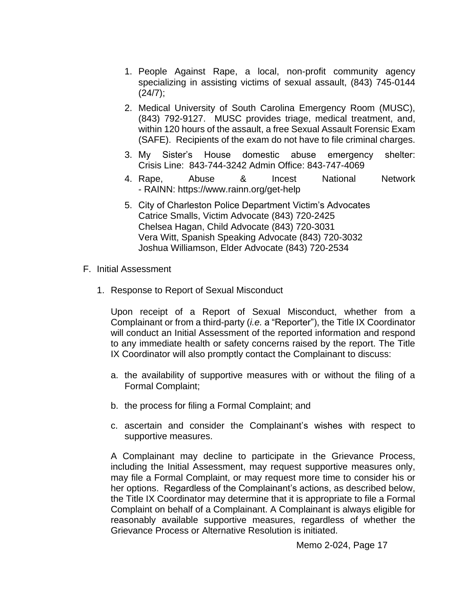- 1. People Against Rape, a local, non-profit community agency specializing in assisting victims of sexual assault, (843) 745-0144  $(24/7);$
- 2. Medical University of South Carolina Emergency Room (MUSC), (843) 792-9127. MUSC provides triage, medical treatment, and, within 120 hours of the assault, a free Sexual Assault Forensic Exam (SAFE). Recipients of the exam do not have to file criminal charges.
- 3. My Sister's House domestic abuse emergency shelter: Crisis Line: 843-744-3242 Admin Office: 843-747-4069
- 4. Rape, Abuse & Incest National Network - RAINN: <https://www.rainn.org/get-help>
- 5. City of Charleston Police Department Victim's Advocates Catrice Smalls, Victim Advocate (843) 720-2425 Chelsea Hagan, Child Advocate (843) 720-3031 Vera Witt, Spanish Speaking Advocate (843) 720-3032 Joshua Williamson, Elder Advocate (843) 720-2534
- F. Initial Assessment
	- 1. Response to Report of Sexual Misconduct

Upon receipt of a Report of Sexual Misconduct, whether from a Complainant or from a third-party (*i.e.* a "Reporter"), the Title IX Coordinator will conduct an Initial Assessment of the reported information and respond to any immediate health or safety concerns raised by the report. The Title IX Coordinator will also promptly contact the Complainant to discuss:

- a. the availability of supportive measures with or without the filing of a Formal Complaint;
- b. the process for filing a Formal Complaint; and
- c. ascertain and consider the Complainant's wishes with respect to supportive measures.

A Complainant may decline to participate in the Grievance Process, including the Initial Assessment, may request supportive measures only, may file a Formal Complaint, or may request more time to consider his or her options. Regardless of the Complainant's actions, as described below, the Title IX Coordinator may determine that it is appropriate to file a Formal Complaint on behalf of a Complainant. A Complainant is always eligible for reasonably available supportive measures, regardless of whether the Grievance Process or Alternative Resolution is initiated.

Memo 2-024, Page 17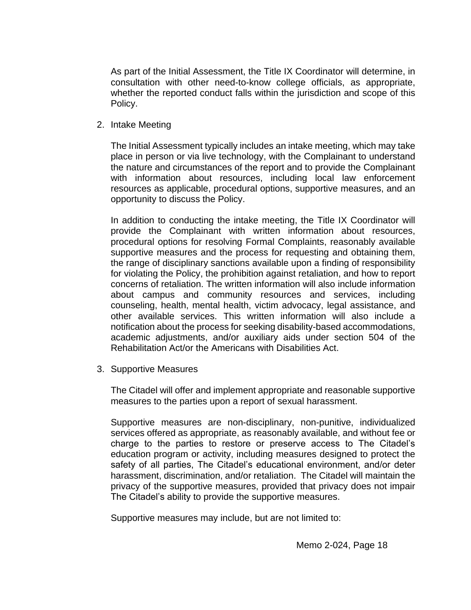As part of the Initial Assessment, the Title IX Coordinator will determine, in consultation with other need-to-know college officials, as appropriate, whether the reported conduct falls within the jurisdiction and scope of this Policy.

2. Intake Meeting

The Initial Assessment typically includes an intake meeting, which may take place in person or via live technology, with the Complainant to understand the nature and circumstances of the report and to provide the Complainant with information about resources, including local law enforcement resources as applicable, procedural options, supportive measures, and an opportunity to discuss the Policy.

In addition to conducting the intake meeting, the Title IX Coordinator will provide the Complainant with written information about resources, procedural options for resolving Formal Complaints, reasonably available supportive measures and the process for requesting and obtaining them, the range of disciplinary sanctions available upon a finding of responsibility for violating the Policy, the prohibition against retaliation, and how to report concerns of retaliation. The written information will also include information about campus and community resources and services, including counseling, health, mental health, victim advocacy, legal assistance, and other available services. This written information will also include a notification about the process for seeking disability-based accommodations, academic adjustments, and/or auxiliary aids under section 504 of the Rehabilitation Act/or the Americans with Disabilities Act.

3. Supportive Measures

The Citadel will offer and implement appropriate and reasonable supportive measures to the parties upon a report of sexual harassment.

Supportive measures are non-disciplinary, non-punitive, individualized services offered as appropriate, as reasonably available, and without fee or charge to the parties to restore or preserve access to The Citadel's education program or activity, including measures designed to protect the safety of all parties, The Citadel's educational environment, and/or deter harassment, discrimination, and/or retaliation. The Citadel will maintain the privacy of the supportive measures, provided that privacy does not impair The Citadel's ability to provide the supportive measures.

Supportive measures may include, but are not limited to: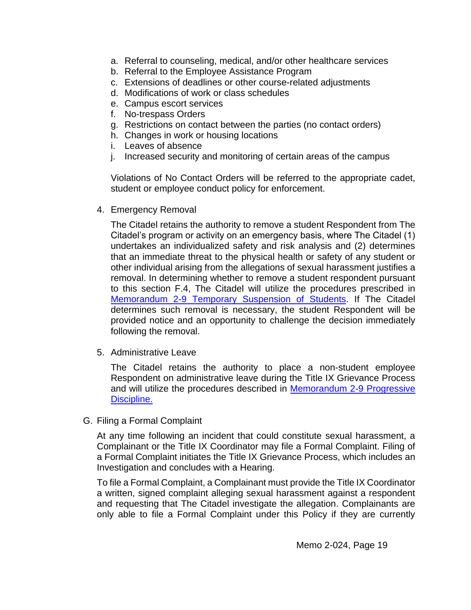- a. Referral to counseling, medical, and/or other healthcare services
- b. Referral to the Employee Assistance Program
- c. Extensions of deadlines or other course-related adjustments
- d. Modifications of work or class schedules
- e. Campus escort services
- f. No-trespass Orders
- g. Restrictions on contact between the parties (no contact orders)
- h. Changes in work or housing locations
- i. Leaves of absence
- j. Increased security and monitoring of certain areas of the campus

Violations of No Contact Orders will be referred to the appropriate cadet, student or employee conduct policy for enforcement.

4. Emergency Removal

The Citadel retains the authority to remove a student Respondent from The Citadel's program or activity on an emergency basis, where The Citadel (1) undertakes an individualized safety and risk analysis and (2) determines that an immediate threat to the physical health or safety of any student or other individual arising from the allegations of sexual harassment justifies a removal. In determining whether to remove a student respondent pursuant to this section F.4, The Citadel will utilize the procedures prescribed in [Memorandum 2-9 Temporary Suspension of Students.](https://www.citadel.edu/root/images/policies/temporary-suspension-of-students-policy.pdf) If The Citadel determines such removal is necessary, the student Respondent will be provided notice and an opportunity to challenge the decision immediately following the removal.

5. Administrative Leave

The Citadel retains the authority to place a non-student employee Respondent on administrative leave during the Title IX Grievance Process and will utilize the procedures described in [Memorandum 2-9 Progressive](https://www.citadel.edu/root/images/policies/progressive-discipline-policy.pdf)  [Discipline.](https://www.citadel.edu/root/images/policies/progressive-discipline-policy.pdf)

G. Filing a Formal Complaint

At any time following an incident that could constitute sexual harassment, a Complainant or the Title IX Coordinator may file a Formal Complaint. Filing of a Formal Complaint initiates the Title IX Grievance Process, which includes an Investigation and concludes with a Hearing.

To file a Formal Complaint, a Complainant must provide the Title IX Coordinator a written, signed complaint alleging sexual harassment against a respondent and requesting that The Citadel investigate the allegation. Complainants are only able to file a Formal Complaint under this Policy if they are currently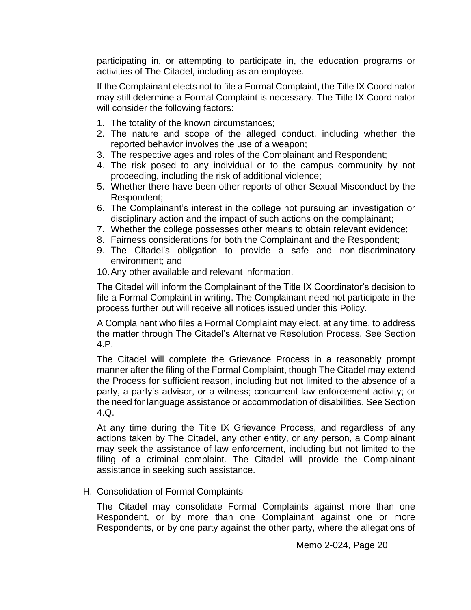participating in, or attempting to participate in, the education programs or activities of The Citadel, including as an employee.

If the Complainant elects not to file a Formal Complaint, the Title IX Coordinator may still determine a Formal Complaint is necessary. The Title IX Coordinator will consider the following factors:

- 1. The totality of the known circumstances;
- 2. The nature and scope of the alleged conduct, including whether the reported behavior involves the use of a weapon;
- 3. The respective ages and roles of the Complainant and Respondent;
- 4. The risk posed to any individual or to the campus community by not proceeding, including the risk of additional violence;
- 5. Whether there have been other reports of other Sexual Misconduct by the Respondent;
- 6. The Complainant's interest in the college not pursuing an investigation or disciplinary action and the impact of such actions on the complainant;
- 7. Whether the college possesses other means to obtain relevant evidence;
- 8. Fairness considerations for both the Complainant and the Respondent;
- 9. The Citadel's obligation to provide a safe and non-discriminatory environment; and
- 10.Any other available and relevant information.

The Citadel will inform the Complainant of the Title IX Coordinator's decision to file a Formal Complaint in writing. The Complainant need not participate in the process further but will receive all notices issued under this Policy.

A Complainant who files a Formal Complaint may elect, at any time, to address the matter through The Citadel's Alternative Resolution Process. See Section 4.P.

The Citadel will complete the Grievance Process in a reasonably prompt manner after the filing of the Formal Complaint, though The Citadel may extend the Process for sufficient reason, including but not limited to the absence of a party, a party's advisor, or a witness; concurrent law enforcement activity; or the need for language assistance or accommodation of disabilities. See Section 4.Q.

At any time during the Title IX Grievance Process, and regardless of any actions taken by The Citadel, any other entity, or any person, a Complainant may seek the assistance of law enforcement, including but not limited to the filing of a criminal complaint. The Citadel will provide the Complainant assistance in seeking such assistance.

# H. Consolidation of Formal Complaints

The Citadel may consolidate Formal Complaints against more than one Respondent, or by more than one Complainant against one or more Respondents, or by one party against the other party, where the allegations of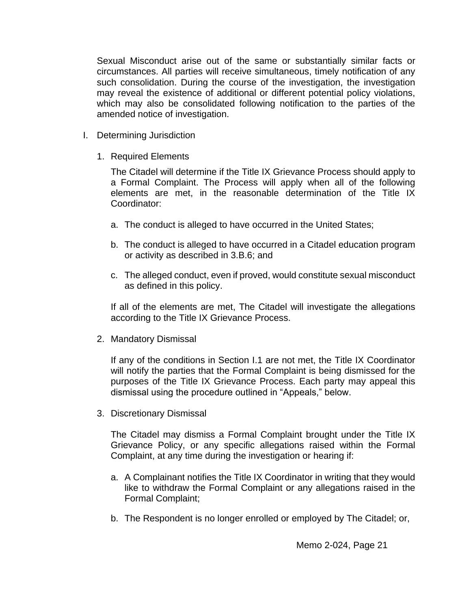Sexual Misconduct arise out of the same or substantially similar facts or circumstances. All parties will receive simultaneous, timely notification of any such consolidation. During the course of the investigation, the investigation may reveal the existence of additional or different potential policy violations, which may also be consolidated following notification to the parties of the amended notice of investigation.

- I. Determining Jurisdiction
	- 1. Required Elements

The Citadel will determine if the Title IX Grievance Process should apply to a Formal Complaint. The Process will apply when all of the following elements are met, in the reasonable determination of the Title IX Coordinator:

- a. The conduct is alleged to have occurred in the United States;
- b. The conduct is alleged to have occurred in a Citadel education program or activity as described in 3.B.6; and
- c. The alleged conduct, even if proved, would constitute sexual misconduct as defined in this policy.

If all of the elements are met, The Citadel will investigate the allegations according to the Title IX Grievance Process.

2. Mandatory Dismissal

If any of the conditions in Section I.1 are not met, the Title IX Coordinator will notify the parties that the Formal Complaint is being dismissed for the purposes of the Title IX Grievance Process. Each party may appeal this dismissal using the procedure outlined in "Appeals," below.

3. Discretionary Dismissal

The Citadel may dismiss a Formal Complaint brought under the Title IX Grievance Policy, or any specific allegations raised within the Formal Complaint, at any time during the investigation or hearing if:

- a. A Complainant notifies the Title IX Coordinator in writing that they would like to withdraw the Formal Complaint or any allegations raised in the Formal Complaint;
- b. The Respondent is no longer enrolled or employed by The Citadel; or,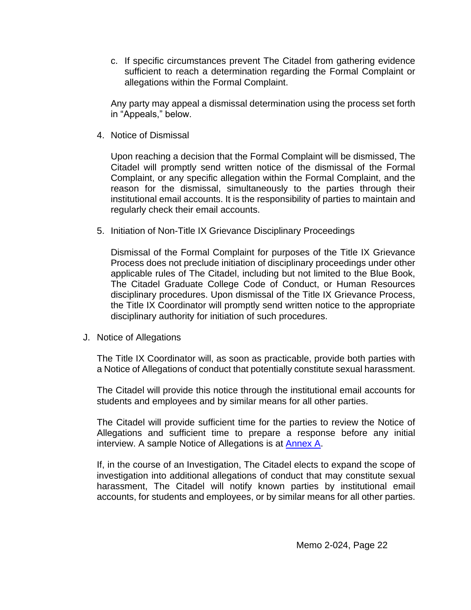c. If specific circumstances prevent The Citadel from gathering evidence sufficient to reach a determination regarding the Formal Complaint or allegations within the Formal Complaint.

Any party may appeal a dismissal determination using the process set forth in "Appeals," below.

4. Notice of Dismissal

Upon reaching a decision that the Formal Complaint will be dismissed, The Citadel will promptly send written notice of the dismissal of the Formal Complaint, or any specific allegation within the Formal Complaint, and the reason for the dismissal, simultaneously to the parties through their institutional email accounts. It is the responsibility of parties to maintain and regularly check their email accounts.

5. Initiation of Non-Title IX Grievance Disciplinary Proceedings

Dismissal of the Formal Complaint for purposes of the Title IX Grievance Process does not preclude initiation of disciplinary proceedings under other applicable rules of The Citadel, including but not limited to the Blue Book, The Citadel Graduate College Code of Conduct, or Human Resources disciplinary procedures. Upon dismissal of the Title IX Grievance Process, the Title IX Coordinator will promptly send written notice to the appropriate disciplinary authority for initiation of such procedures.

J. Notice of Allegations

The Title IX Coordinator will, as soon as practicable, provide both parties with a Notice of Allegations of conduct that potentially constitute sexual harassment.

The Citadel will provide this notice through the institutional email accounts for students and employees and by similar means for all other parties.

The Citadel will provide sufficient time for the parties to review the Notice of Allegations and sufficient time to prepare a response before any initial interview. A sample Notice of Allegations is at [Annex A.](https://documentcloud.adobe.com/link/review?uri=urn:aaid:scds:US:5e2accba-3c8d-48f9-a3c7-9c764d858ed7#pageNum=1)

If, in the course of an Investigation, The Citadel elects to expand the scope of investigation into additional allegations of conduct that may constitute sexual harassment, The Citadel will notify known parties by institutional email accounts, for students and employees, or by similar means for all other parties.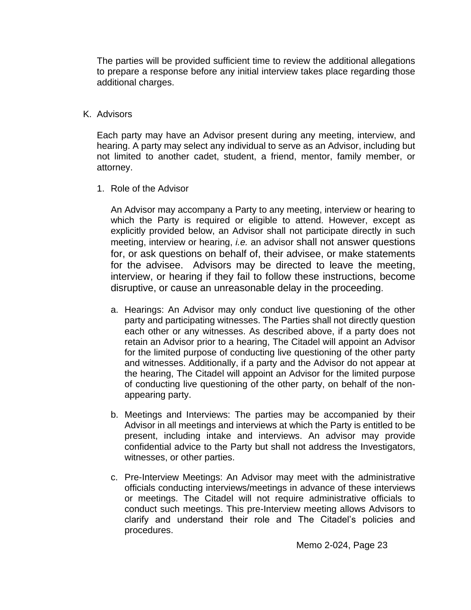The parties will be provided sufficient time to review the additional allegations to prepare a response before any initial interview takes place regarding those additional charges.

### K. Advisors

Each party may have an Advisor present during any meeting, interview, and hearing. A party may select any individual to serve as an Advisor, including but not limited to another cadet, student, a friend, mentor, family member, or attorney.

1. Role of the Advisor

An Advisor may accompany a Party to any meeting, interview or hearing to which the Party is required or eligible to attend. However, except as explicitly provided below, an Advisor shall not participate directly in such meeting, interview or hearing, *i.e.* an advisor shall not answer questions for, or ask questions on behalf of, their advisee, or make statements for the advisee. Advisors may be directed to leave the meeting, interview, or hearing if they fail to follow these instructions, become disruptive, or cause an unreasonable delay in the proceeding.

- a. Hearings: An Advisor may only conduct live questioning of the other party and participating witnesses. The Parties shall not directly question each other or any witnesses. As described above, if a party does not retain an Advisor prior to a hearing, The Citadel will appoint an Advisor for the limited purpose of conducting live questioning of the other party and witnesses. Additionally, if a party and the Advisor do not appear at the hearing, The Citadel will appoint an Advisor for the limited purpose of conducting live questioning of the other party, on behalf of the nonappearing party.
- b. Meetings and Interviews: The parties may be accompanied by their Advisor in all meetings and interviews at which the Party is entitled to be present, including intake and interviews. An advisor may provide confidential advice to the Party but shall not address the Investigators, witnesses, or other parties.
- c. Pre-Interview Meetings: An Advisor may meet with the administrative officials conducting interviews/meetings in advance of these interviews or meetings. The Citadel will not require administrative officials to conduct such meetings. This pre-Interview meeting allows Advisors to clarify and understand their role and The Citadel's policies and procedures.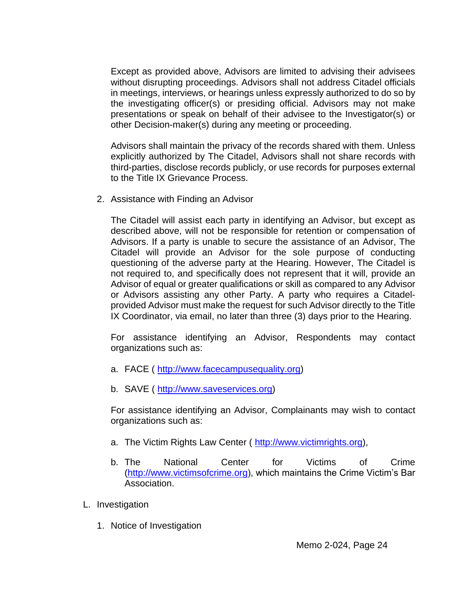Except as provided above, Advisors are limited to advising their advisees without disrupting proceedings. Advisors shall not address Citadel officials in meetings, interviews, or hearings unless expressly authorized to do so by the investigating officer(s) or presiding official. Advisors may not make presentations or speak on behalf of their advisee to the Investigator(s) or other Decision-maker(s) during any meeting or proceeding.

Advisors shall maintain the privacy of the records shared with them. Unless explicitly authorized by The Citadel, Advisors shall not share records with third-parties, disclose records publicly, or use records for purposes external to the Title IX Grievance Process.

2. Assistance with Finding an Advisor

The Citadel will assist each party in identifying an Advisor, but except as described above, will not be responsible for retention or compensation of Advisors. If a party is unable to secure the assistance of an Advisor, The Citadel will provide an Advisor for the sole purpose of conducting questioning of the adverse party at the Hearing. However, The Citadel is not required to, and specifically does not represent that it will, provide an Advisor of equal or greater qualifications or skill as compared to any Advisor or Advisors assisting any other Party. A party who requires a Citadelprovided Advisor must make the request for such Advisor directly to the Title IX Coordinator, via email, no later than three (3) days prior to the Hearing.

For assistance identifying an Advisor, Respondents may contact organizations such as:

- a. FACE ( [http://www.facecampusequality.org\)](http://www.facecampusequality.org/)
- b. SAVE (http://www.saveservices.org)

For assistance identifying an Advisor, Complainants may wish to contact organizations such as:

- a. The Victim Rights Law Center ( [http://www.victimrights.org\)](http://www.victimrights.org/),
- b. The National Center for Victims of Crime [\(http://www.victimsofcrime.org\)](http://www.victimsofcrime.org/), which maintains the Crime Victim's Bar Association.
- L. Investigation
	- 1. Notice of Investigation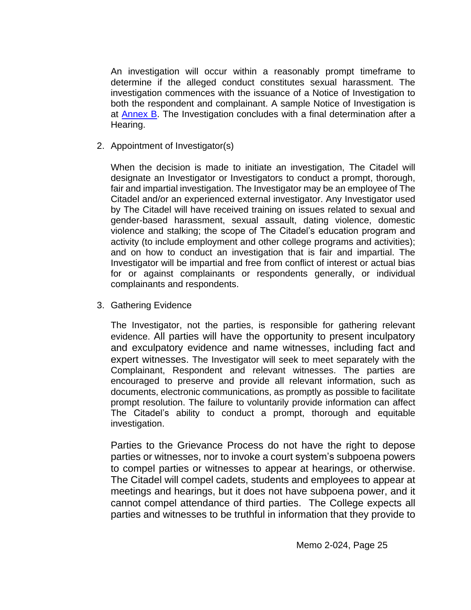An investigation will occur within a reasonably prompt timeframe to determine if the alleged conduct constitutes sexual harassment. The investigation commences with the issuance of a Notice of Investigation to both the respondent and complainant. A sample Notice of Investigation is at **Annex B**. The Investigation concludes with a final determination after a Hearing.

2. Appointment of Investigator(s)

When the decision is made to initiate an investigation, The Citadel will designate an Investigator or Investigators to conduct a prompt, thorough, fair and impartial investigation. The Investigator may be an employee of The Citadel and/or an experienced external investigator. Any Investigator used by The Citadel will have received training on issues related to sexual and gender-based harassment, sexual assault, dating violence, domestic violence and stalking; the scope of The Citadel's education program and activity (to include employment and other college programs and activities); and on how to conduct an investigation that is fair and impartial. The Investigator will be impartial and free from conflict of interest or actual bias for or against complainants or respondents generally, or individual complainants and respondents.

3. Gathering Evidence

The Investigator, not the parties, is responsible for gathering relevant evidence. All parties will have the opportunity to present inculpatory and exculpatory evidence and name witnesses, including fact and expert witnesses. The Investigator will seek to meet separately with the Complainant, Respondent and relevant witnesses. The parties are encouraged to preserve and provide all relevant information, such as documents, electronic communications, as promptly as possible to facilitate prompt resolution. The failure to voluntarily provide information can affect The Citadel's ability to conduct a prompt, thorough and equitable investigation.

Parties to the Grievance Process do not have the right to depose parties or witnesses, nor to invoke a court system's subpoena powers to compel parties or witnesses to appear at hearings, or otherwise. The Citadel will compel cadets, students and employees to appear at meetings and hearings, but it does not have subpoena power, and it cannot compel attendance of third parties. The College expects all parties and witnesses to be truthful in information that they provide to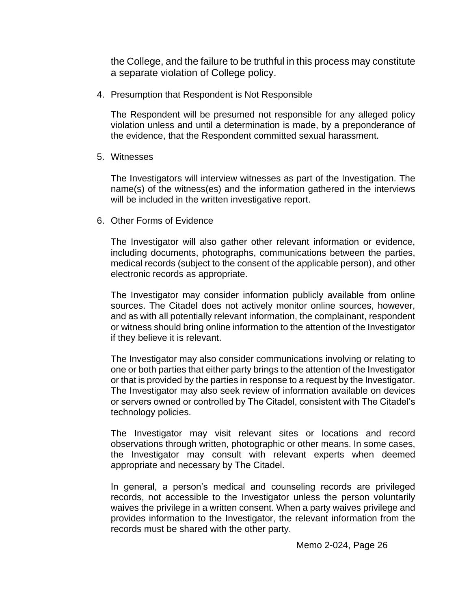the College, and the failure to be truthful in this process may constitute a separate violation of College policy.

4. Presumption that Respondent is Not Responsible

The Respondent will be presumed not responsible for any alleged policy violation unless and until a determination is made, by a preponderance of the evidence, that the Respondent committed sexual harassment.

5. Witnesses

The Investigators will interview witnesses as part of the Investigation. The name(s) of the witness(es) and the information gathered in the interviews will be included in the written investigative report.

6. Other Forms of Evidence

The Investigator will also gather other relevant information or evidence, including documents, photographs, communications between the parties, medical records (subject to the consent of the applicable person), and other electronic records as appropriate.

The Investigator may consider information publicly available from online sources. The Citadel does not actively monitor online sources, however, and as with all potentially relevant information, the complainant, respondent or witness should bring online information to the attention of the Investigator if they believe it is relevant.

The Investigator may also consider communications involving or relating to one or both parties that either party brings to the attention of the Investigator or that is provided by the parties in response to a request by the Investigator. The Investigator may also seek review of information available on devices or servers owned or controlled by The Citadel, consistent with The Citadel's technology policies.

The Investigator may visit relevant sites or locations and record observations through written, photographic or other means. In some cases, the Investigator may consult with relevant experts when deemed appropriate and necessary by The Citadel.

In general, a person's medical and counseling records are privileged records, not accessible to the Investigator unless the person voluntarily waives the privilege in a written consent. When a party waives privilege and provides information to the Investigator, the relevant information from the records must be shared with the other party.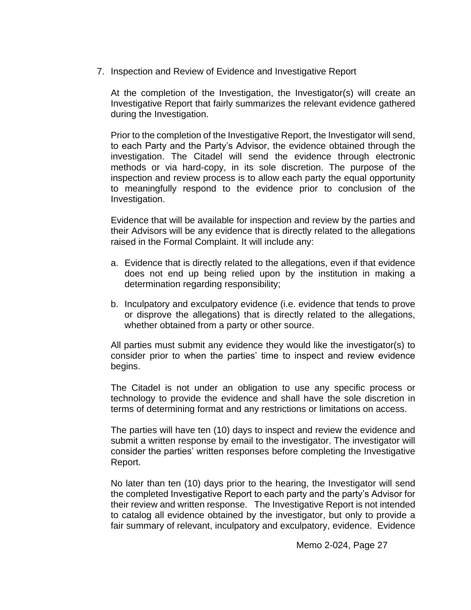7. Inspection and Review of Evidence and Investigative Report

At the completion of the Investigation, the Investigator(s) will create an Investigative Report that fairly summarizes the relevant evidence gathered during the Investigation.

Prior to the completion of the Investigative Report, the Investigator will send, to each Party and the Party's Advisor, the evidence obtained through the investigation. The Citadel will send the evidence through electronic methods or via hard-copy, in its sole discretion. The purpose of the inspection and review process is to allow each party the equal opportunity to meaningfully respond to the evidence prior to conclusion of the Investigation.

Evidence that will be available for inspection and review by the parties and their Advisors will be any evidence that is directly related to the allegations raised in the Formal Complaint. It will include any:

- a. Evidence that is directly related to the allegations, even if that evidence does not end up being relied upon by the institution in making a determination regarding responsibility;
- b. Inculpatory and exculpatory evidence (i.e. evidence that tends to prove or disprove the allegations) that is directly related to the allegations, whether obtained from a party or other source.

All parties must submit any evidence they would like the investigator(s) to consider prior to when the parties' time to inspect and review evidence begins.

The Citadel is not under an obligation to use any specific process or technology to provide the evidence and shall have the sole discretion in terms of determining format and any restrictions or limitations on access.

The parties will have ten (10) days to inspect and review the evidence and submit a written response by email to the investigator. The investigator will consider the parties' written responses before completing the Investigative Report.

No later than ten (10) days prior to the hearing, the Investigator will send the completed Investigative Report to each party and the party's Advisor for their review and written response. The Investigative Report is not intended to catalog all evidence obtained by the investigator, but only to provide a fair summary of relevant, inculpatory and exculpatory, evidence. Evidence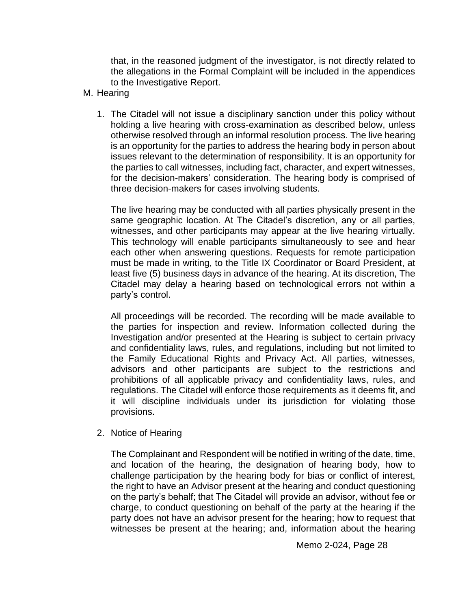that, in the reasoned judgment of the investigator, is not directly related to the allegations in the Formal Complaint will be included in the appendices to the Investigative Report.

- M. Hearing
	- 1. The Citadel will not issue a disciplinary sanction under this policy without holding a live hearing with cross-examination as described below, unless otherwise resolved through an informal resolution process. The live hearing is an opportunity for the parties to address the hearing body in person about issues relevant to the determination of responsibility. It is an opportunity for the parties to call witnesses, including fact, character, and expert witnesses, for the decision-makers' consideration. The hearing body is comprised of three decision-makers for cases involving students.

The live hearing may be conducted with all parties physically present in the same geographic location. At The Citadel's discretion, any or all parties, witnesses, and other participants may appear at the live hearing virtually. This technology will enable participants simultaneously to see and hear each other when answering questions. Requests for remote participation must be made in writing, to the Title IX Coordinator or Board President, at least five (5) business days in advance of the hearing. At its discretion, The Citadel may delay a hearing based on technological errors not within a party's control.

All proceedings will be recorded. The recording will be made available to the parties for inspection and review. Information collected during the Investigation and/or presented at the Hearing is subject to certain privacy and confidentiality laws, rules, and regulations, including but not limited to the Family Educational Rights and Privacy Act. All parties, witnesses, advisors and other participants are subject to the restrictions and prohibitions of all applicable privacy and confidentiality laws, rules, and regulations. The Citadel will enforce those requirements as it deems fit, and it will discipline individuals under its jurisdiction for violating those provisions.

2. Notice of Hearing

The Complainant and Respondent will be notified in writing of the date, time, and location of the hearing, the designation of hearing body, how to challenge participation by the hearing body for bias or conflict of interest, the right to have an Advisor present at the hearing and conduct questioning on the party's behalf; that The Citadel will provide an advisor, without fee or charge, to conduct questioning on behalf of the party at the hearing if the party does not have an advisor present for the hearing; how to request that witnesses be present at the hearing; and, information about the hearing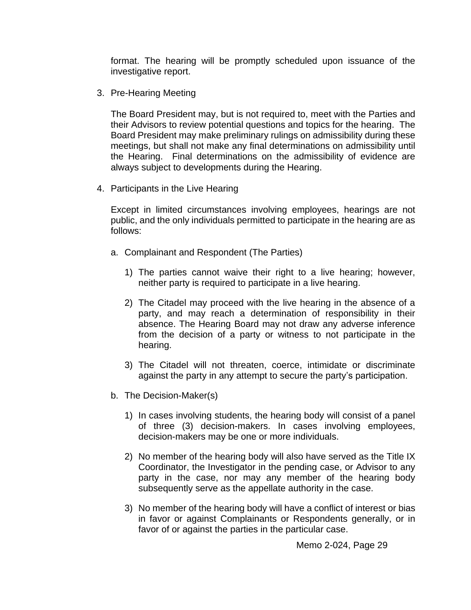format. The hearing will be promptly scheduled upon issuance of the investigative report.

3. Pre-Hearing Meeting

The Board President may, but is not required to, meet with the Parties and their Advisors to review potential questions and topics for the hearing. The Board President may make preliminary rulings on admissibility during these meetings, but shall not make any final determinations on admissibility until the Hearing. Final determinations on the admissibility of evidence are always subject to developments during the Hearing.

4. Participants in the Live Hearing

Except in limited circumstances involving employees, hearings are not public, and the only individuals permitted to participate in the hearing are as follows:

- a. Complainant and Respondent (The Parties)
	- 1) The parties cannot waive their right to a live hearing; however, neither party is required to participate in a live hearing.
	- 2) The Citadel may proceed with the live hearing in the absence of a party, and may reach a determination of responsibility in their absence. The Hearing Board may not draw any adverse inference from the decision of a party or witness to not participate in the hearing.
	- 3) The Citadel will not threaten, coerce, intimidate or discriminate against the party in any attempt to secure the party's participation.
- b. The Decision-Maker(s)
	- 1) In cases involving students, the hearing body will consist of a panel of three (3) decision-makers. In cases involving employees, decision-makers may be one or more individuals.
	- 2) No member of the hearing body will also have served as the Title IX Coordinator, the Investigator in the pending case, or Advisor to any party in the case, nor may any member of the hearing body subsequently serve as the appellate authority in the case.
	- 3) No member of the hearing body will have a conflict of interest or bias in favor or against Complainants or Respondents generally, or in favor of or against the parties in the particular case.

Memo 2-024, Page 29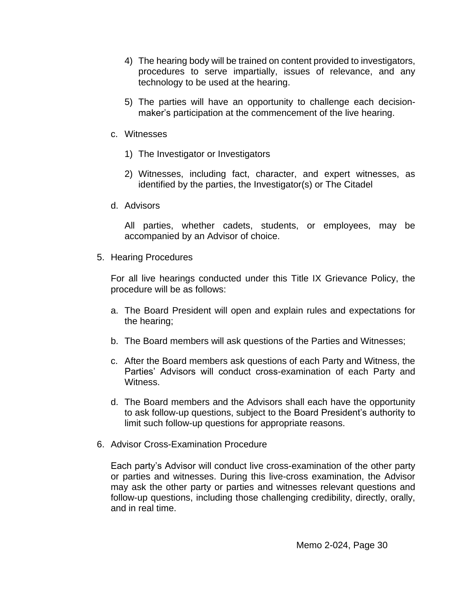- 4) The hearing body will be trained on content provided to investigators, procedures to serve impartially, issues of relevance, and any technology to be used at the hearing.
- 5) The parties will have an opportunity to challenge each decisionmaker's participation at the commencement of the live hearing.
- c. Witnesses
	- 1) The Investigator or Investigators
	- 2) Witnesses, including fact, character, and expert witnesses, as identified by the parties, the Investigator(s) or The Citadel
- d. Advisors

All parties, whether cadets, students, or employees, may be accompanied by an Advisor of choice.

5. Hearing Procedures

For all live hearings conducted under this Title IX Grievance Policy, the procedure will be as follows:

- a. The Board President will open and explain rules and expectations for the hearing;
- b. The Board members will ask questions of the Parties and Witnesses;
- c. After the Board members ask questions of each Party and Witness, the Parties' Advisors will conduct cross-examination of each Party and Witness.
- d. The Board members and the Advisors shall each have the opportunity to ask follow-up questions, subject to the Board President's authority to limit such follow-up questions for appropriate reasons.
- 6. Advisor Cross-Examination Procedure

Each party's Advisor will conduct live cross-examination of the other party or parties and witnesses. During this live-cross examination, the Advisor may ask the other party or parties and witnesses relevant questions and follow-up questions, including those challenging credibility, directly, orally, and in real time.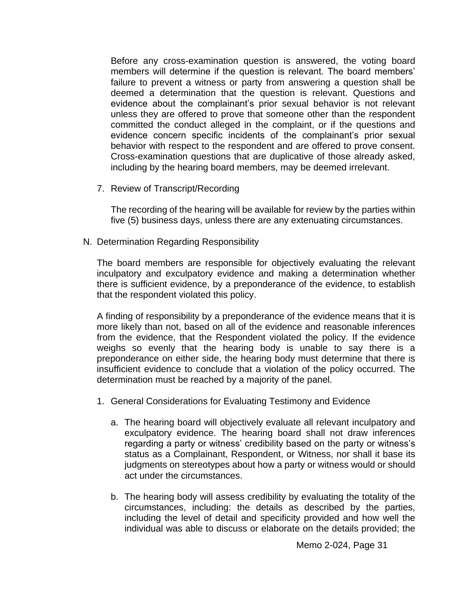Before any cross-examination question is answered, the voting board members will determine if the question is relevant. The board members' failure to prevent a witness or party from answering a question shall be deemed a determination that the question is relevant. Questions and evidence about the complainant's prior sexual behavior is not relevant unless they are offered to prove that someone other than the respondent committed the conduct alleged in the complaint, or if the questions and evidence concern specific incidents of the complainant's prior sexual behavior with respect to the respondent and are offered to prove consent. Cross-examination questions that are duplicative of those already asked, including by the hearing board members, may be deemed irrelevant.

7. Review of Transcript/Recording

The recording of the hearing will be available for review by the parties within five (5) business days, unless there are any extenuating circumstances.

N. Determination Regarding Responsibility

The board members are responsible for objectively evaluating the relevant inculpatory and exculpatory evidence and making a determination whether there is sufficient evidence, by a preponderance of the evidence, to establish that the respondent violated this policy.

A finding of responsibility by a preponderance of the evidence means that it is more likely than not, based on all of the evidence and reasonable inferences from the evidence, that the Respondent violated the policy. If the evidence weighs so evenly that the hearing body is unable to say there is a preponderance on either side, the hearing body must determine that there is insufficient evidence to conclude that a violation of the policy occurred. The determination must be reached by a majority of the panel.

- 1. General Considerations for Evaluating Testimony and Evidence
	- a. The hearing board will objectively evaluate all relevant inculpatory and exculpatory evidence. The hearing board shall not draw inferences regarding a party or witness' credibility based on the party or witness's status as a Complainant, Respondent, or Witness, nor shall it base its judgments on stereotypes about how a party or witness would or should act under the circumstances.
	- b. The hearing body will assess credibility by evaluating the totality of the circumstances, including: the details as described by the parties, including the level of detail and specificity provided and how well the individual was able to discuss or elaborate on the details provided; the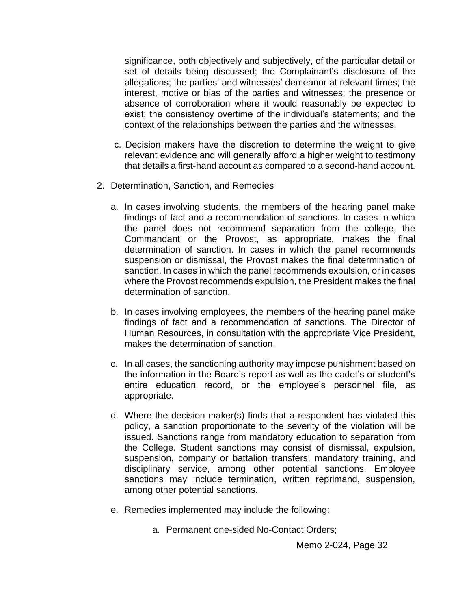significance, both objectively and subjectively, of the particular detail or set of details being discussed; the Complainant's disclosure of the allegations; the parties' and witnesses' demeanor at relevant times; the interest, motive or bias of the parties and witnesses; the presence or absence of corroboration where it would reasonably be expected to exist; the consistency overtime of the individual's statements; and the context of the relationships between the parties and the witnesses.

- c. Decision makers have the discretion to determine the weight to give relevant evidence and will generally afford a higher weight to testimony that details a first-hand account as compared to a second-hand account.
- 2. Determination, Sanction, and Remedies
	- a. In cases involving students, the members of the hearing panel make findings of fact and a recommendation of sanctions. In cases in which the panel does not recommend separation from the college, the Commandant or the Provost, as appropriate, makes the final determination of sanction. In cases in which the panel recommends suspension or dismissal, the Provost makes the final determination of sanction. In cases in which the panel recommends expulsion, or in cases where the Provost recommends expulsion, the President makes the final determination of sanction.
	- b. In cases involving employees, the members of the hearing panel make findings of fact and a recommendation of sanctions. The Director of Human Resources, in consultation with the appropriate Vice President, makes the determination of sanction.
	- c. In all cases, the sanctioning authority may impose punishment based on the information in the Board's report as well as the cadet's or student's entire education record, or the employee's personnel file, as appropriate.
	- d. Where the decision‐maker(s) finds that a respondent has violated this policy, a sanction proportionate to the severity of the violation will be issued. Sanctions range from mandatory education to separation from the College. Student sanctions may consist of dismissal, expulsion, suspension, company or battalion transfers, mandatory training, and disciplinary service, among other potential sanctions. Employee sanctions may include termination, written reprimand, suspension, among other potential sanctions.
	- e. Remedies implemented may include the following:
		- a. Permanent one-sided No-Contact Orders;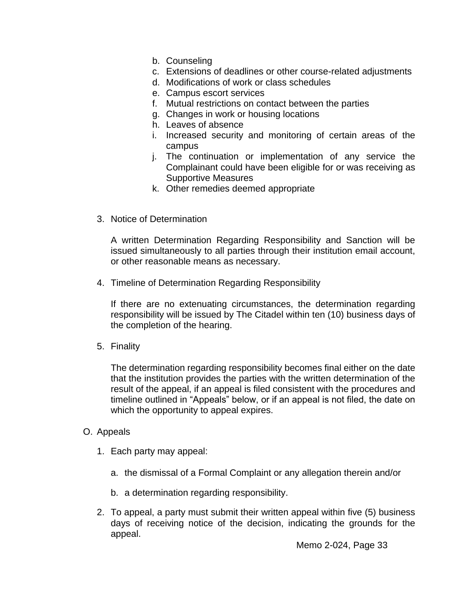- b. Counseling
- c. Extensions of deadlines or other course-related adjustments
- d. Modifications of work or class schedules
- e. Campus escort services
- f. Mutual restrictions on contact between the parties
- g. Changes in work or housing locations
- h. Leaves of absence
- i. Increased security and monitoring of certain areas of the campus
- j. The continuation or implementation of any service the Complainant could have been eligible for or was receiving as Supportive Measures
- k. Other remedies deemed appropriate
- 3. Notice of Determination

A written Determination Regarding Responsibility and Sanction will be issued simultaneously to all parties through their institution email account, or other reasonable means as necessary.

4. Timeline of Determination Regarding Responsibility

If there are no extenuating circumstances, the determination regarding responsibility will be issued by The Citadel within ten (10) business days of the completion of the hearing.

5. Finality

The determination regarding responsibility becomes final either on the date that the institution provides the parties with the written determination of the result of the appeal, if an appeal is filed consistent with the procedures and timeline outlined in "Appeals" below, or if an appeal is not filed, the date on which the opportunity to appeal expires.

- O. Appeals
	- 1. Each party may appeal:
		- a. the dismissal of a Formal Complaint or any allegation therein and/or
		- b. a determination regarding responsibility.
	- 2. To appeal, a party must submit their written appeal within five (5) business days of receiving notice of the decision, indicating the grounds for the appeal.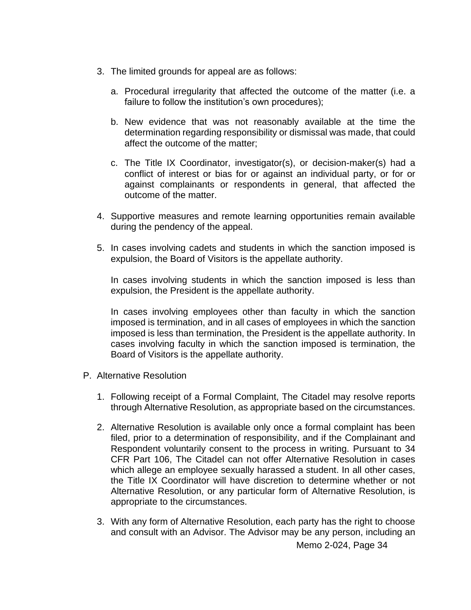- 3. The limited grounds for appeal are as follows:
	- a. Procedural irregularity that affected the outcome of the matter (i.e. a failure to follow the institution's own procedures);
	- b. New evidence that was not reasonably available at the time the determination regarding responsibility or dismissal was made, that could affect the outcome of the matter;
	- c. The Title IX Coordinator, investigator(s), or decision-maker(s) had a conflict of interest or bias for or against an individual party, or for or against complainants or respondents in general, that affected the outcome of the matter.
- 4. Supportive measures and remote learning opportunities remain available during the pendency of the appeal.
- 5. In cases involving cadets and students in which the sanction imposed is expulsion, the Board of Visitors is the appellate authority.

In cases involving students in which the sanction imposed is less than expulsion, the President is the appellate authority.

In cases involving employees other than faculty in which the sanction imposed is termination, and in all cases of employees in which the sanction imposed is less than termination, the President is the appellate authority. In cases involving faculty in which the sanction imposed is termination, the Board of Visitors is the appellate authority.

- P. Alternative Resolution
	- 1. Following receipt of a Formal Complaint, The Citadel may resolve reports through Alternative Resolution, as appropriate based on the circumstances.
	- 2. Alternative Resolution is available only once a formal complaint has been filed, prior to a determination of responsibility, and if the Complainant and Respondent voluntarily consent to the process in writing. Pursuant to 34 CFR Part 106, The Citadel can not offer Alternative Resolution in cases which allege an employee sexually harassed a student. In all other cases, the Title IX Coordinator will have discretion to determine whether or not Alternative Resolution, or any particular form of Alternative Resolution, is appropriate to the circumstances.
	- 3. With any form of Alternative Resolution, each party has the right to choose and consult with an Advisor. The Advisor may be any person, including an

Memo 2-024, Page 34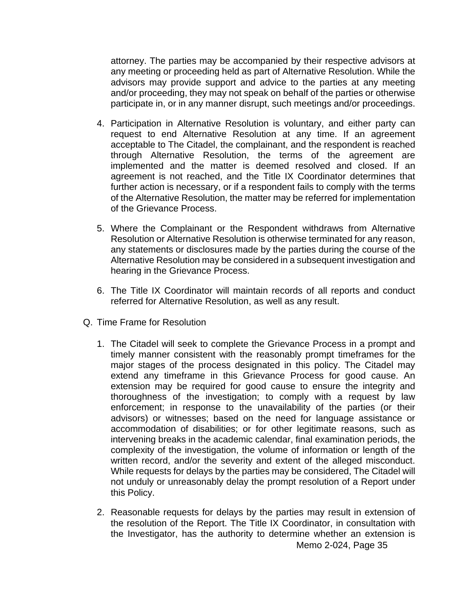attorney. The parties may be accompanied by their respective advisors at any meeting or proceeding held as part of Alternative Resolution. While the advisors may provide support and advice to the parties at any meeting and/or proceeding, they may not speak on behalf of the parties or otherwise participate in, or in any manner disrupt, such meetings and/or proceedings.

- 4. Participation in Alternative Resolution is voluntary, and either party can request to end Alternative Resolution at any time. If an agreement acceptable to The Citadel, the complainant, and the respondent is reached through Alternative Resolution, the terms of the agreement are implemented and the matter is deemed resolved and closed. If an agreement is not reached, and the Title IX Coordinator determines that further action is necessary, or if a respondent fails to comply with the terms of the Alternative Resolution, the matter may be referred for implementation of the Grievance Process.
- 5. Where the Complainant or the Respondent withdraws from Alternative Resolution or Alternative Resolution is otherwise terminated for any reason, any statements or disclosures made by the parties during the course of the Alternative Resolution may be considered in a subsequent investigation and hearing in the Grievance Process.
- 6. The Title IX Coordinator will maintain records of all reports and conduct referred for Alternative Resolution, as well as any result.
- Q. Time Frame for Resolution
	- 1. The Citadel will seek to complete the Grievance Process in a prompt and timely manner consistent with the reasonably prompt timeframes for the major stages of the process designated in this policy. The Citadel may extend any timeframe in this Grievance Process for good cause. An extension may be required for good cause to ensure the integrity and thoroughness of the investigation; to comply with a request by law enforcement; in response to the unavailability of the parties (or their advisors) or witnesses; based on the need for language assistance or accommodation of disabilities; or for other legitimate reasons, such as intervening breaks in the academic calendar, final examination periods, the complexity of the investigation, the volume of information or length of the written record, and/or the severity and extent of the alleged misconduct. While requests for delays by the parties may be considered, The Citadel will not unduly or unreasonably delay the prompt resolution of a Report under this Policy.
	- Memo 2-024, Page 35 2. Reasonable requests for delays by the parties may result in extension of the resolution of the Report. The Title IX Coordinator, in consultation with the Investigator, has the authority to determine whether an extension is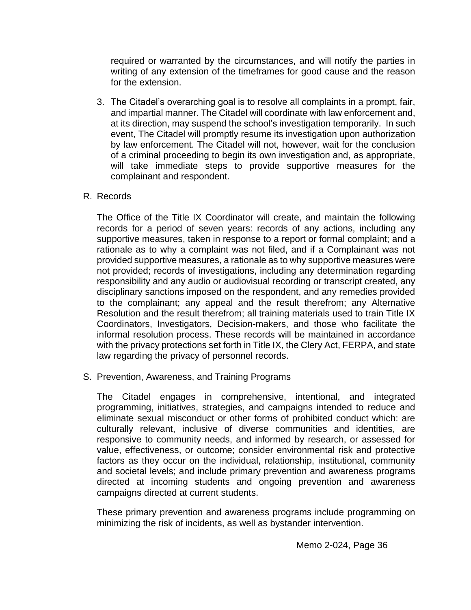required or warranted by the circumstances, and will notify the parties in writing of any extension of the timeframes for good cause and the reason for the extension.

3. The Citadel's overarching goal is to resolve all complaints in a prompt, fair, and impartial manner. The Citadel will coordinate with law enforcement and, at its direction, may suspend the school's investigation temporarily. In such event, The Citadel will promptly resume its investigation upon authorization by law enforcement. The Citadel will not, however, wait for the conclusion of a criminal proceeding to begin its own investigation and, as appropriate, will take immediate steps to provide supportive measures for the complainant and respondent.

### R. Records

The Office of the Title IX Coordinator will create, and maintain the following records for a period of seven years: records of any actions, including any supportive measures, taken in response to a report or formal complaint; and a rationale as to why a complaint was not filed, and if a Complainant was not provided supportive measures, a rationale as to why supportive measures were not provided; records of investigations, including any determination regarding responsibility and any audio or audiovisual recording or transcript created, any disciplinary sanctions imposed on the respondent, and any remedies provided to the complainant; any appeal and the result therefrom; any Alternative Resolution and the result therefrom; all training materials used to train Title IX Coordinators, Investigators, Decision-makers, and those who facilitate the informal resolution process. These records will be maintained in accordance with the privacy protections set forth in Title IX, the Clery Act, FERPA, and state law regarding the privacy of personnel records.

S. Prevention, Awareness, and Training Programs

The Citadel engages in comprehensive, intentional, and integrated programming, initiatives, strategies, and campaigns intended to reduce and eliminate sexual misconduct or other forms of prohibited conduct which: are culturally relevant, inclusive of diverse communities and identities, are responsive to community needs, and informed by research, or assessed for value, effectiveness, or outcome; consider environmental risk and protective factors as they occur on the individual, relationship, institutional, community and societal levels; and include primary prevention and awareness programs directed at incoming students and ongoing prevention and awareness campaigns directed at current students.

These primary prevention and awareness programs include programming on minimizing the risk of incidents, as well as bystander intervention.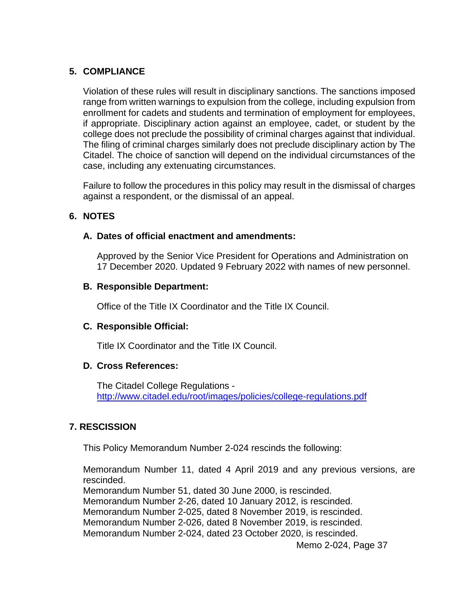### **5. COMPLIANCE**

Violation of these rules will result in disciplinary sanctions. The sanctions imposed range from written warnings to expulsion from the college, including expulsion from enrollment for cadets and students and termination of employment for employees, if appropriate. Disciplinary action against an employee, cadet, or student by the college does not preclude the possibility of criminal charges against that individual. The filing of criminal charges similarly does not preclude disciplinary action by The Citadel. The choice of sanction will depend on the individual circumstances of the case, including any extenuating circumstances.

Failure to follow the procedures in this policy may result in the dismissal of charges against a respondent, or the dismissal of an appeal.

### **6. NOTES**

### **A. Dates of official enactment and amendments:**

Approved by the Senior Vice President for Operations and Administration on 17 December 2020. Updated 9 February 2022 with names of new personnel.

### **B. Responsible Department:**

Office of the Title IX Coordinator and the Title IX Council.

### **C. Responsible Official:**

Title IX Coordinator and the Title IX Council.

### **D. Cross References:**

The Citadel College Regulations <http://www.citadel.edu/root/images/policies/college-regulations.pdf>

### **7. RESCISSION**

This Policy Memorandum Number 2-024 rescinds the following:

Memorandum Number 11, dated 4 April 2019 and any previous versions, are rescinded. Memorandum Number 51, dated 30 June 2000, is rescinded. Memorandum Number 2-26, dated 10 January 2012, is rescinded. Memorandum Number 2-025, dated 8 November 2019, is rescinded. Memorandum Number 2-026, dated 8 November 2019, is rescinded. Memorandum Number 2-024, dated 23 October 2020, is rescinded.

Memo 2-024, Page 37